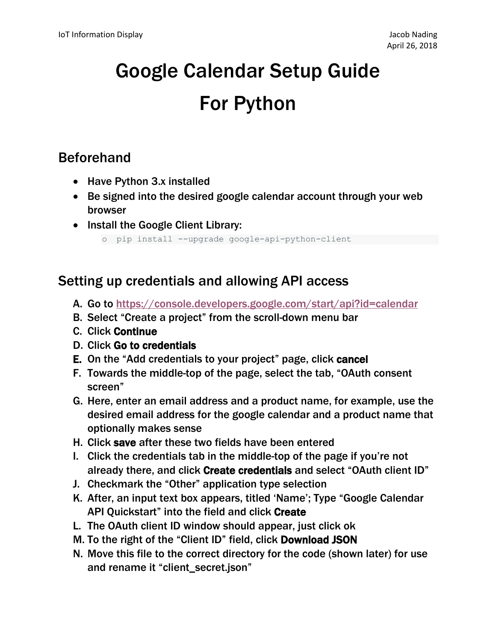# Google Calendar Setup Guide For Python

### Beforehand

- Have Python 3.x installed
- Be signed into the desired google calendar account through your web browser
- Install the Google Client Library:

o pip install --upgrade google-api-python-client

#### Setting up credentials and allowing API access

- A. Go to<https://console.developers.google.com/start/api?id=calendar>
- B. Select "Create a project" from the scroll-down menu bar
- C. Click Continue
- D. Click Go to credentials
- E. On the "Add credentials to your project" page, click cancel
- F. Towards the middle-top of the page, select the tab, "OAuth consent screen"
- G. Here, enter an email address and a product name, for example, use the desired email address for the google calendar and a product name that optionally makes sense
- H. Click save after these two fields have been entered
- I. Click the credentials tab in the middle-top of the page if you're not already there, and click Create credentials and select "OAuth client ID"
- J. Checkmark the "Other" application type selection
- K. After, an input text box appears, titled 'Name'; Type "Google Calendar API Quickstart" into the field and click Create
- L. The OAuth client ID window should appear, just click ok
- M. To the right of the "Client ID" field, click Download JSON
- N. Move this file to the correct directory for the code (shown later) for use and rename it "client\_secret.json"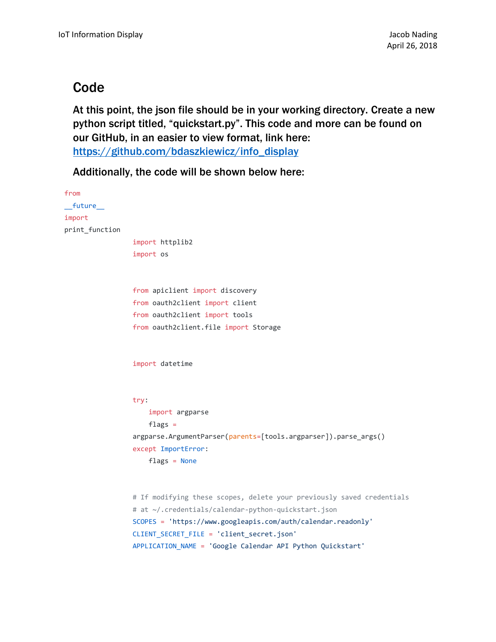#### **Code**

At this point, the json file should be in your working directory. Create a new python script titled, "quickstart.py". This code and more can be found on our GitHub, in an easier to view format, link here: [https://github.com/bdaszkiewicz/info\\_display](https://github.com/bdaszkiewicz/info_display)

Additionally, the code will be shown below here:

```
from
__future__
import
print_function
                 import httplib2
                 import os
                 from apiclient import discovery
                 from oauth2client import client
                 from oauth2client import tools
                 from oauth2client.file import Storage
                 import datetime
                 try:
                      import argparse
                     flags =argparse.ArgumentParser(parents=[tools.argparser]).parse_args()
                 except ImportError:
                      flags = None
                 # If modifying these scopes, delete your previously saved credentials
                 # at ~/.credentials/calendar-python-quickstart.json
                 SCOPES = 'https://www.googleapis.com/auth/calendar.readonly'
                 CLIENT_SECRET_FILE = 'client_secret.json'
                 APPLICATION_NAME = 'Google Calendar API Python Quickstart'
```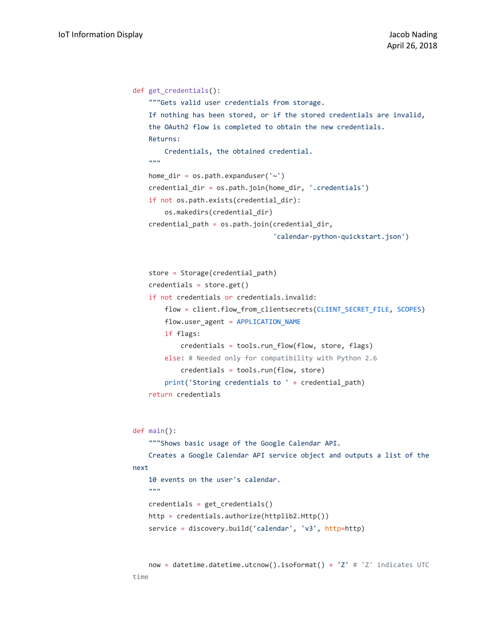```
def get_credentials():
     """Gets valid user credentials from storage.
     If nothing has been stored, or if the stored credentials are invalid,
     the OAuth2 flow is completed to obtain the new credentials.
     Returns:
         Credentials, the obtained credential.
     """
    home dir = os.path.expanduser('~` credential_dir = os.path.join(home_dir, '.credentials')
     if not os.path.exists(credential_dir):
         os.makedirs(credential_dir)
     credential_path = os.path.join(credential_dir,
                                     'calendar-python-quickstart.json')
     store = Storage(credential_path)
     credentials = store.get()
     if not credentials or credentials.invalid:
         flow = client.flow_from_clientsecrets(CLIENT_SECRET_FILE, SCOPES)
         flow.user_agent = APPLICATION_NAME
         if flags:
             credentials = tools.run_flow(flow, store, flags)
         else: # Needed only for compatibility with Python 2.6
             credentials = tools.run(flow, store)
         print('Storing credentials to ' + credential_path)
     return credentials
def main():
     """Shows basic usage of the Google Calendar API.
     Creates a Google Calendar API service object and outputs a list of the 
next
     10 events on the user's calendar.
     """
     credentials = get_credentials()
     http = credentials.authorize(httplib2.Http())
     service = discovery.build('calendar', 'v3', http=http)
    now = datetime.datetime.utcnow().isoformat() + 'Z' # 'Z' indicates UTC
time
```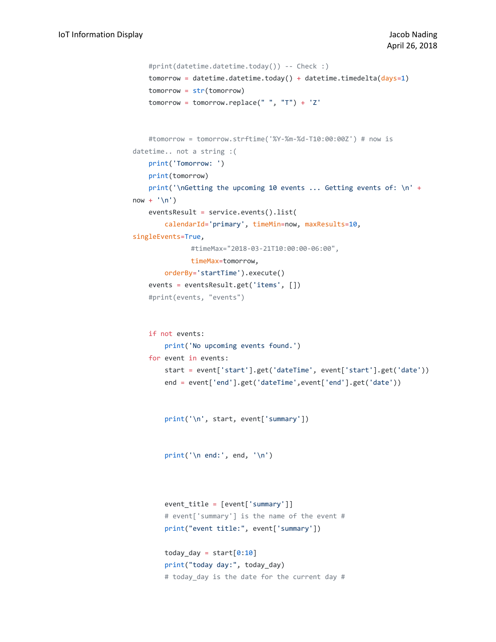```
 #print(datetime.datetime.today()) -- Check :)
    tomorrow = datetime.datetime.today() + datetime.timedelta(days=1)
     tomorrow = str(tomorrow)
     tomorrow = tomorrow.replace(" ", "T") + 'Z'
     #tomorrow = tomorrow.strftime('%Y-%m-%d-T10:00:00Z') # now is 
datetime.. not a string :(
     print('Tomorrow: ')
     print(tomorrow)
    print('\nGetting the upcoming 10 events ... Getting events of: \n' +
now + ' \n\lor') eventsResult = service.events().list(
         calendarId='primary', timeMin=now, maxResults=10, 
singleEvents=True,
               #timeMax="2018-03-21T10:00:00-06:00",
              timeMax=tomorrow,
         orderBy='startTime').execute()
     events = eventsResult.get('items', [])
     #print(events, "events")
     if not events:
         print('No upcoming events found.')
     for event in events:
         start = event['start'].get('dateTime', event['start'].get('date'))
         end = event['end'].get('dateTime',event['end'].get('date'))
         print('\n', start, event['summary'])
        print('\n end:', end, '\n')
         event_title = [event['summary']]
         # event['summary'] is the name of the event #
         print("event title:", event['summary'])
        today_day = start[0:10] print("today day:", today_day)
         # today_day is the date for the current day #
```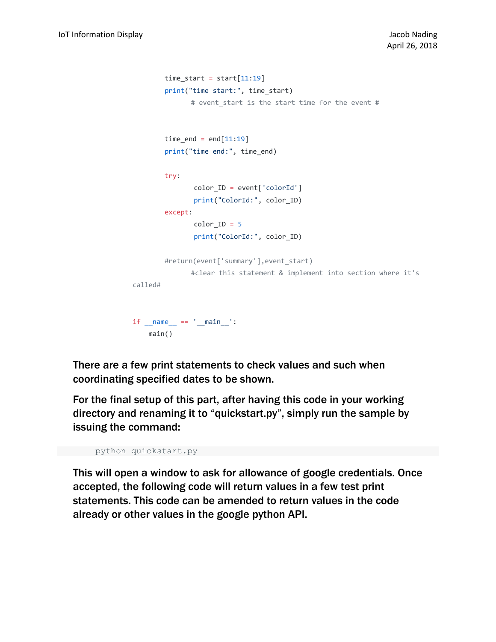```
time\_start = start[11:19] print("time start:", time_start)
              # event_start is the start time for the event #
        time end = end[11:19] print("time end:", time_end)
         try:
                color_ID = event['colorId']
                print("ColorId:", color_ID)
         except:
              color ID = 5 print("ColorId:", color_ID)
         #return(event['summary'],event_start)
              #clear this statement & implement into section where it's 
called#
if __name__ == '__main__': main()
```
There are a few print statements to check values and such when coordinating specified dates to be shown.

For the final setup of this part, after having this code in your working directory and renaming it to "quickstart.py", simply run the sample by issuing the command:

```
python quickstart.py
```
This will open a window to ask for allowance of google credentials. Once accepted, the following code will return values in a few test print statements. This code can be amended to return values in the code already or other values in the google python API.